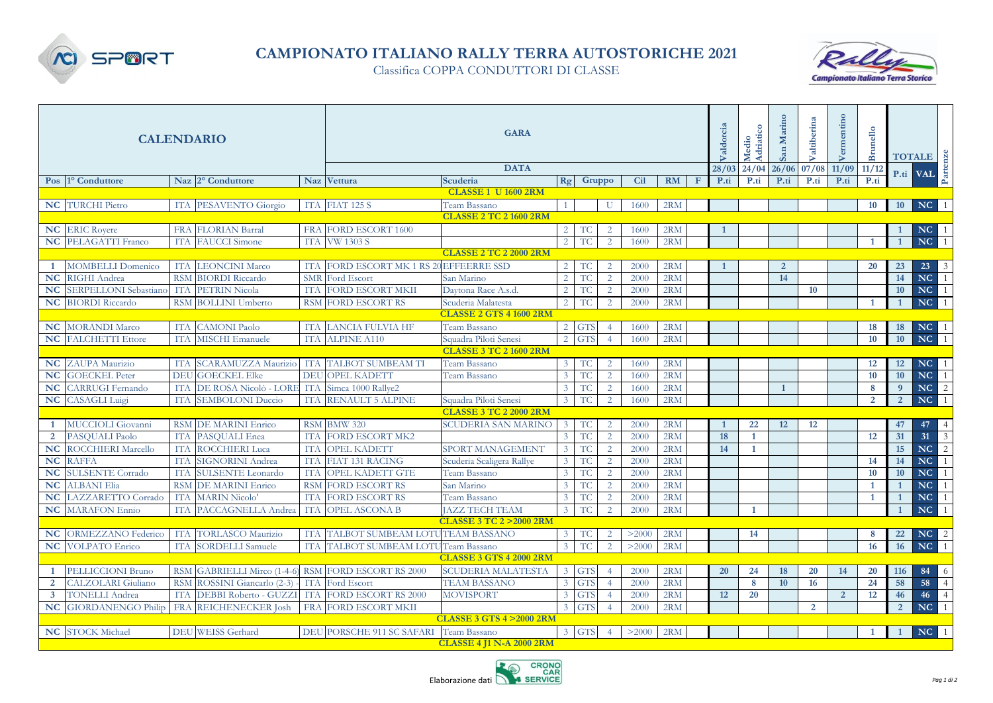

## **CAMPIONATO ITALIANO RALLY TERRA AUTOSTORICHE 2021**

Classifica COPPA CONDUTTORI DI CLASSE



| <b>CALENDARIO</b>       |                              |            |                                                  |            | <b>GARA</b>                             |                                     |                |                             |                |            |     |              | Valdorcia    | Adriatico<br>Medio | Marino<br>San  | Valtiberina    |                | Brunello       |                | TOTALE P.ti VAL |                 |
|-------------------------|------------------------------|------------|--------------------------------------------------|------------|-----------------------------------------|-------------------------------------|----------------|-----------------------------|----------------|------------|-----|--------------|--------------|--------------------|----------------|----------------|----------------|----------------|----------------|-----------------|-----------------|
|                         |                              |            |                                                  |            | <b>DATA</b>                             |                                     |                |                             |                |            |     |              |              | 24/04              | 26/06          | 07/08          | 11/09          | 11/12          |                |                 |                 |
|                         | Pos 1º Conduttore            |            | Naz 2° Conduttore                                |            | Naz Vettura                             | Scuderia                            | Rg             |                             | Gruppo         | <b>Cil</b> | RM  | $\mathbf{F}$ | P.ti         | P.ti               | P.ti           | P.ti           | P.ti           | P.ti           |                |                 |                 |
|                         |                              |            |                                                  |            |                                         | <b>CLASSE 1 U 1600 2RM</b>          |                |                             |                |            |     |              |              |                    |                |                |                |                |                |                 |                 |
|                         | <b>NC</b> TURCHI Pietro      |            | ITA PESAVENTO Giorgio                            |            | ITA FIAT 125 S                          | Team Bassano                        |                |                             | U              | 1600       | 2RM |              |              |                    |                |                |                | 10             | 10             | NC              | -1              |
|                         |                              |            |                                                  |            |                                         | <b>CLASSE 2 TC 2 1600 2RM</b>       |                |                             |                |            |     |              |              |                    |                |                |                |                |                |                 |                 |
|                         | <b>NC</b> ERIC Royere        |            | FRA FLORIAN Barral                               |            | FRA FORD ESCORT 1600                    |                                     | $2^{\circ}$    | <b>TC</b>                   | 2              | 1600       | 2RM |              | $\mathbf{1}$ |                    |                |                |                |                | -1             | NC <sub>1</sub> |                 |
|                         | NC PELAGATTI Franco          | <b>TTA</b> | <b>FAUCCI</b> Simone                             | <b>TTA</b> | <b>VW 1303 S</b>                        |                                     | 2              | <b>TC</b>                   | $\overline{2}$ | 1600       | 2RM |              |              |                    |                |                |                | $\overline{1}$ | $\overline{1}$ | NC              | $\overline{1}$  |
|                         |                              |            |                                                  |            |                                         | <b>CLASSE 2 TC 2 2000 2RM</b>       |                |                             |                |            |     |              |              |                    |                |                |                |                |                |                 |                 |
| -1                      | <b>MOMBELLI Domenico</b>     |            | ITA LEONCINI Marco                               |            | ITA FORD ESCORT MK 1 RS 20 EFFEERRE SSD |                                     | 2              | <b>TC</b>                   | 2              | 2000       | 2RM |              | $\mathbf{1}$ |                    | $\overline{2}$ |                |                | 20             | 23             | $23 \quad 3$    |                 |
| <b>NC</b>               | RIGHI Andrea                 |            | RSM BIORDI Riccardo                              | <b>SMR</b> | Ford Escort                             | San Marino                          | 2              | <b>TC</b>                   | 2              | 2000       | 2RM |              |              |                    | 14             |                |                |                | 14             | NC <sub>1</sub> |                 |
| <b>NC</b>               | <b>SERPELLONI</b> Sebastiano |            | ITA PETRIN Nicola                                | <b>ITA</b> | FORD ESCORT MKII                        | Daytona Race A.s.d.                 | 2              | <b>TC</b>                   | 2              | 2000       | 2RM |              |              |                    |                | 10             |                |                | 10             | NC <sub>1</sub> |                 |
|                         | <b>NC</b> BIORDI Riccardo    |            | RSM BOLLINI Umberto                              |            | <b>RSM FORD ESCORT RS</b>               | Scuderia Malatesta                  | 2              | TC.                         | 2              | 2000       | 2RM |              |              |                    |                |                |                | $\overline{1}$ | $\mathbf{1}$   | NC <sub>1</sub> |                 |
|                         |                              |            |                                                  |            |                                         | <b>CLASSE 2 GTS 4 1600 2RM</b>      |                |                             |                |            |     |              |              |                    |                |                |                |                |                |                 |                 |
| <b>NC</b>               | <b>MORANDI Marco</b>         | ITA        | CAMONI Paolo                                     | <b>ITA</b> | LANCIA FULVIA HF                        | Team Bassano                        | $\overline{2}$ | <b>GTS</b>                  |                | 1600       | 2RM |              |              |                    |                |                |                | 18             | 18             | NC <sub>1</sub> |                 |
|                         | <b>NC</b> FALCHETTI Ettore   | <b>TTA</b> | MISCHI Emanuele                                  | <b>ITA</b> | <b>ALPINE A110</b>                      | Squadra Piloti Senesi               | 2              | <b>GTS</b>                  | $\overline{4}$ | 1600       | 2RM |              |              |                    |                |                |                | 10             | 10             | NC              | $\overline{1}$  |
|                         |                              |            |                                                  |            |                                         | <b>CLASSE 3 TC 2 1600 2RM</b>       |                |                             |                |            |     |              |              |                    |                |                |                |                |                |                 |                 |
| NC                      | ZAUPA Maurizio               |            | ITA SCARAMUZZA Maurizio                          | ITA        | TALBOT SUMBEAM TI                       | Team Bassano                        | $\mathbf{3}$   | <b>TC</b>                   | $\overline{2}$ | 1600       | 2RM |              |              |                    |                |                |                | 12             | 12             | NC <sub>1</sub> |                 |
| NC                      | <b>GOECKEL Peter</b>         | DEU        | <b>GOECKEL Elke</b>                              | <b>DEU</b> | <b>OPEL KADETT</b>                      | Team Bassano                        |                | <b>TC</b>                   | 2              | 1600       | 2RM |              |              |                    |                |                |                | 10             | <b>10</b>      | NC <sub>1</sub> |                 |
| <b>NC</b>               | <b>CARRUGI</b> Fernando      |            | ITA DE ROSA Nicolò - LORE ITA Simca 1000 Rallye2 |            |                                         |                                     |                | <b>TC</b>                   | $\overline{2}$ | 1600       | 2RM |              |              |                    | $\mathbf{1}$   |                |                | $8\phantom{1}$ | $\overline{9}$ | NC <sub>2</sub> |                 |
| NC                      | <b>CASAGLI</b> Luigi         |            | <b>ITA SEMBOLONI Duccio</b>                      | <b>ITA</b> | <b>RENAULT 5 ALPINE</b>                 | Squadra Piloti Senesi               | $\overline{3}$ | TC                          | $\overline{2}$ | 1600       | 2RM |              |              |                    |                |                |                | $\overline{2}$ | $\overline{2}$ | NC <sub>1</sub> |                 |
|                         |                              |            |                                                  |            |                                         | <b>CLASSE 3 TC 2 2000 2RM</b>       |                |                             |                |            |     |              |              |                    |                |                |                |                |                |                 |                 |
| $\overline{1}$          | MUCCIOLI Giovanni            |            | RSM DE MARINI Enrico                             |            | RSM BMW 320                             | <b>SCUDERIA SAN MARINO</b>          | 3 <sup>7</sup> | $\protect\operatorname{TC}$ | $\overline{2}$ | 2000       | 2RM |              | $\mathbf{1}$ | 22                 | 12             | 12             |                |                | 47             | 47              | 4               |
| 2                       | PASOUALI Paolo               | <b>ITA</b> | PASOUALI Enea                                    | <b>ITA</b> | <b>FORD ESCORT MK2</b>                  |                                     |                | <b>TC</b>                   | 2              | 2000       | 2RM |              | 18           | $\mathbf{1}$       |                |                |                | 12             | 31             | 31              | $\sqrt{3}$      |
| <b>NC</b>               | <b>ROCCHIERI Marcello</b>    |            | ITA ROCCHIERI Luca                               | <b>ITA</b> | <b>OPEL KADETT</b>                      | <b>SPORT MANAGEMENT</b>             |                | <b>TC</b>                   | 2              | 2000       | 2RM |              | 14           | $\mathbf{1}$       |                |                |                |                | 15             | NC <sub>2</sub> |                 |
| <b>NC</b>               | <b>RAFFA</b>                 | <b>ITA</b> | <b>SIGNORINI Andrea</b>                          | <b>ITA</b> | <b>FIAT 131 RACING</b>                  | Scuderia Scaligera Rallye           |                | <b>TC</b>                   | 2              | 2000       | 2RM |              |              |                    |                |                |                | 14             | 14             | NC 1            |                 |
| <b>NC</b>               | <b>SULSENTE Corrado</b>      | <b>ITA</b> | <b>SULSENTE Leonardo</b>                         | <b>ITA</b> | <b>OPEL KADETT GTE</b>                  | Team Bassano                        |                | <b>TC</b>                   | 2              | 2000       | 2RM |              |              |                    |                |                |                | 10             | 10             | NC <sub>1</sub> |                 |
| <b>NC</b>               | <b>ALBANI Elia</b>           |            | <b>RSM DE MARINI Enrico</b>                      | <b>RSM</b> | <b>FORD ESCORT RS</b>                   | San Marino                          |                | <b>TC</b>                   | $\overline{2}$ | 2000       | 2RM |              |              |                    |                |                |                | $\mathbf{1}$   | $\mathbf{1}$   | NC <sub>1</sub> |                 |
| NC                      | LAZZARETTO Corrado           |            | ITA MARIN Nicolo'                                | <b>ITA</b> | <b>FORD ESCORT RS</b>                   | Team Bassano                        |                | <b>TC</b>                   | 2              | 2000       | 2RM |              |              |                    |                |                |                | $\mathbf{1}$   | $\mathbf{1}$   | NC <sub>1</sub> |                 |
| <b>NC</b>               | <b>MARAFON Ennio</b>         | <b>ITA</b> | PACCAGNELLA Andrea                               | <b>ITA</b> | <b>OPEL ASCONA B</b>                    | <b>JAZZ TECH TEAM</b>               |                | <b>TC</b>                   | $\overline{2}$ | 2000       | 2RM |              |              | $\mathbf{1}$       |                |                |                |                | $\overline{1}$ | NC              | $\mathbf{1}$    |
|                         |                              |            |                                                  |            |                                         | <b>CLASSE 3 TC 2 &gt; 2000 2RM</b>  |                |                             |                |            |     |              |              |                    |                |                |                |                |                |                 |                 |
| NC                      | <b>ORMEZZANO</b> Federico    |            | ITA TORLASCO Maurizio                            | <b>ITA</b> | TALBOT SUMBEAM LOTUTEAM BASSANO         |                                     | $\overline{3}$ | <b>TC</b>                   | 2              | >2000      | 2RM |              |              | 14                 |                |                |                | 8              | 22             | $NC$ 2          |                 |
| <b>NC</b>               | <b>VOLPATO</b> Enrico        |            | ITA SORDELLI Samuele                             | <b>ITA</b> | TALBOT SUMBEAM LOTUTeam Bassano         |                                     | 3              | <b>TC</b>                   | 2              | >2000      | 2RM |              |              |                    |                |                |                | 16             | 16             | NC              | $\overline{1}$  |
|                         |                              |            |                                                  |            |                                         | <b>CLASSE 3 GTS 4 2000 2RM</b>      |                |                             |                |            |     |              |              |                    |                |                |                |                |                |                 |                 |
| $\overline{1}$          | PELLICCIONI Bruno            |            | RSM GABRIELLI Mirco (1-4-6                       |            | RSM FORD ESCORT RS 2000                 | <b>SCUDERIA MALATESTA</b>           | 3 <sup>7</sup> | <b>GTS</b>                  |                | 2000       | 2RM |              | 20           | 24                 | 18             | 20             | 14             | 20             | 116            | $84\quad 6$     |                 |
| $\overline{2}$          | CALZOLARI Giuliano           |            | RSM ROSSINI Giancarlo (2-3)                      | <b>ITA</b> | <b>Ford Escort</b>                      | <b>TEAM BASSANO</b>                 |                | <b>GTS</b>                  |                | 2000       | 2RM |              |              | 8                  | 10             | 16             |                | 24             | 58             | 58              | $\overline{4}$  |
| $\overline{\mathbf{3}}$ | <b>TONELLI Andrea</b>        |            | ITA DEBBI Roberto - GUZZI                        | <b>ITA</b> | <b>FORD ESCORT RS 2000</b>              | <b>MOVISPORT</b>                    |                | <b>GTS</b>                  |                | 2000       | 2RM |              | 12           | 20                 |                |                | $\overline{2}$ | 12             | 46             | 46              | $\vert 4 \vert$ |
| <b>NC</b>               | <b>GIORDANENGO Philip</b>    | <b>FRA</b> | <b>REICHENECKER</b> Josh                         |            | FRA FORD ESCORT MKII                    |                                     |                | <b>GTS</b>                  |                | 2000       | 2RM |              |              |                    |                | $\overline{2}$ |                |                | <sup>2</sup>   | NC              | $\overline{1}$  |
|                         |                              |            |                                                  |            |                                         | <b>CLASSE 3 GTS 4 &gt; 2000 2RM</b> |                |                             |                |            |     |              |              |                    |                |                |                |                |                |                 |                 |
|                         | NC STOCK Michael             |            | DEU WEISS Gerhard                                |            | DEU PORSCHE 911 SC SAFARI Team Bassano  |                                     |                | 3 GTS                       | $\overline{4}$ | >2000      | 2RM |              |              |                    |                |                |                | $\overline{1}$ | -1             | NC 1            |                 |
|                         |                              |            |                                                  |            |                                         | <b>CLASSE 4 11 N-A 2000 2RM</b>     |                |                             |                |            |     |              |              |                    |                |                |                |                |                |                 |                 |